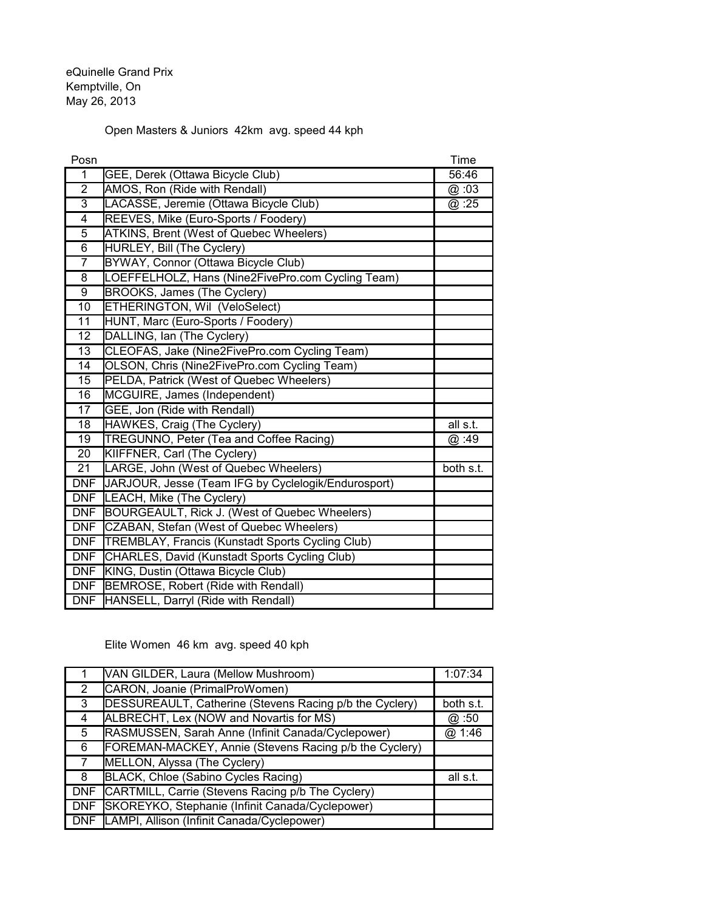eQuinelle Grand Prix Kemptville, On May 26, 2013

## Open Masters & Juniors 42km avg. speed 44 kph

| Posn            |                                                         | Time      |
|-----------------|---------------------------------------------------------|-----------|
| $\mathbf 1$     | GEE, Derek (Ottawa Bicycle Club)                        | 56:46     |
| 2               | AMOS, Ron (Ride with Rendall)                           | @ :03     |
| $\overline{3}$  | LACASSE, Jeremie (Ottawa Bicycle Club)                  | @ :25     |
| 4               | REEVES, Mike (Euro-Sports / Foodery)                    |           |
| $\overline{5}$  | ATKINS, Brent (West of Quebec Wheelers)                 |           |
| $\overline{6}$  | <b>HURLEY, Bill (The Cyclery)</b>                       |           |
| 7               | BYWAY, Connor (Ottawa Bicycle Club)                     |           |
| $\overline{8}$  | LOEFFELHOLZ, Hans (Nine2FivePro.com Cycling Team)       |           |
| $\overline{9}$  | <b>BROOKS, James (The Cyclery)</b>                      |           |
| 10              | ETHERINGTON, Wil (VeloSelect)                           |           |
| 11              | HUNT, Marc (Euro-Sports / Foodery)                      |           |
| 12              | DALLING, Ian (The Cyclery)                              |           |
| 13              | CLEOFAS, Jake (Nine2FivePro.com Cycling Team)           |           |
| $\overline{14}$ | OLSON, Chris (Nine2FivePro.com Cycling Team)            |           |
| 15              | PELDA, Patrick (West of Quebec Wheelers)                |           |
| 16              | MCGUIRE, James (Independent)                            |           |
| $\overline{17}$ | GEE, Jon (Ride with Rendall)                            |           |
| 18              | HAWKES, Craig (The Cyclery)                             | all s.t.  |
| $\overline{19}$ | <b>TREGUNNO, Peter (Tea and Coffee Racing)</b>          | @:49      |
| $\overline{20}$ | KIIFFNER, Carl (The Cyclery)                            |           |
| 21              | LARGE, John (West of Quebec Wheelers)                   | both s.t. |
| <b>DNF</b>      | JARJOUR, Jesse (Team IFG by Cyclelogik/Endurosport)     |           |
| <b>DNF</b>      | LEACH, Mike (The Cyclery)                               |           |
| <b>DNF</b>      | BOURGEAULT, Rick J. (West of Quebec Wheelers)           |           |
| <b>DNF</b>      | CZABAN, Stefan (West of Quebec Wheelers)                |           |
| <b>DNF</b>      | <b>TREMBLAY, Francis (Kunstadt Sports Cycling Club)</b> |           |
| <b>DNF</b>      | CHARLES, David (Kunstadt Sports Cycling Club)           |           |
| <b>DNF</b>      | KING, Dustin (Ottawa Bicycle Club)                      |           |
| <b>DNF</b>      | BEMROSE, Robert (Ride with Rendall)                     |           |
| <b>DNF</b>      | HANSELL, Darryl (Ride with Rendall)                     |           |

Elite Women 46 km avg. speed 40 kph

|                      | VAN GILDER, Laura (Mellow Mushroom)                     | 1:07:34   |
|----------------------|---------------------------------------------------------|-----------|
| $\mathbf{2}^{\circ}$ | CARON, Joanie (PrimalProWomen)                          |           |
| 3                    | DESSUREAULT, Catherine (Stevens Racing p/b the Cyclery) | both s.t. |
| 4                    | ALBRECHT, Lex (NOW and Novartis for MS)                 | @ :50     |
| 5                    | RASMUSSEN, Sarah Anne (Infinit Canada/Cyclepower)       | @ 1:46    |
| 6                    | FOREMAN-MACKEY, Annie (Stevens Racing p/b the Cyclery)  |           |
| $\overline{7}$       | MELLON, Alyssa (The Cyclery)                            |           |
| 8                    | BLACK, Chloe (Sabino Cycles Racing)                     | all s.t.  |
| <b>DNF</b>           | CARTMILL, Carrie (Stevens Racing p/b The Cyclery)       |           |
| <b>DNF</b>           | SKOREYKO, Stephanie (Infinit Canada/Cyclepower)         |           |
| <b>DNF</b>           | LAMPI, Allison (Infinit Canada/Cyclepower)              |           |